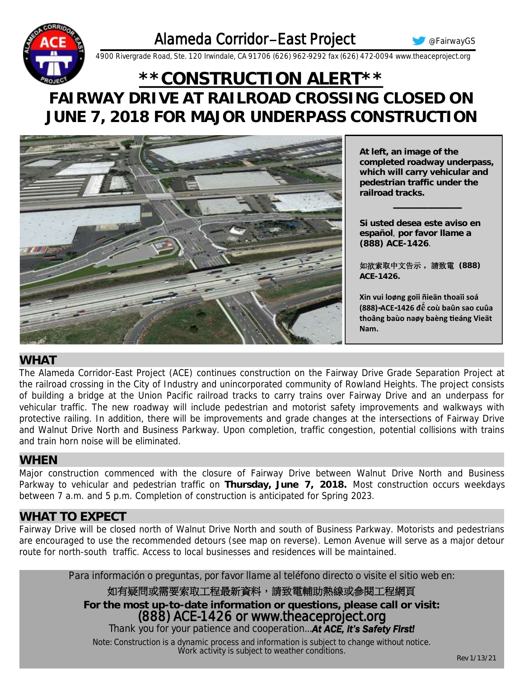

@FairwayGS



4900 Rivergrade Road, Ste. 120 Irwindale, CA 91706 (626) 962-9292 fax (626) 472-0094 www.theaceproject.org

# \*\*CONSTRUCTION ALERT\*\* FAIRWAY DRIVE AT RAILROAD CROSSING CLOSED ON JUNE 7, 2018 FOR MAJOR UNDERPASS CONSTRUCTION



At left, an image of the completed roadway underpass, which will carry vehicular and pedestrian traffic under the railroad tracks.

Si usted desea este aviso en español, por favor llame a (888) ACE-1426.

如欲索取中文告示,請致電 (888) ACF-1426.

Xin vui loøng goïi ñieän thoaïi soá (888)-ACE-1426 đế coù baûn sao cuûa thoâng baùo naøy baèng tieáng Vieät Nam.

### WHAT

The Alameda Corridor-East Project (ACE) continues construction on the Fairway Drive Grade Separation Project at the railroad crossing in the City of Industry and unincorporated community of Rowland Heights. The project consists of building a bridge at the Union Pacific railroad tracks to carry trains over Fairway Drive and an underpass for vehicular traffic. The new roadway will include pedestrian and motorist safety improvements and walkways with protective railing. In addition, there will be improvements and grade changes at the intersections of Fairway Drive and Walnut Drive North and Business Parkway. Upon completion, traffic congestion, potential collisions with trains and train horn noise will be eliminated

#### **WHEN**

Major construction commenced with the closure of Fairway Drive between Walnut Drive North and Business Parkway to vehicular and pedestrian traffic on Thursday, June 7, 2018. Most construction occurs weekdays between 7 a.m. and 5 p.m. Completion of construction is anticipated for Spring 2023.

### **WHAT TO EXPECT**

Fairway Drive will be closed north of Walnut Drive North and south of Business Parkway. Motorists and pedestrians are encouraged to use the recommended detours (see map on reverse). Lemon Avenue will serve as a major detour route for north-south traffic. Access to local businesses and residences will be maintained.

Para información o preguntas, por favor llame al teléfono directo o visite el sitio web en:

如有疑問或需要索取工程最新資料,請致電輔助熱線或參閱工程網頁

For the most up-to-date information or questions, please call or visit:

(888) ACE-1426 or www.theaceproject.org

Thank you for your patience and cooperation... At ACE, it's Safety First!

Note: Construction is a dynamic process and information is subject to change without notice.<br>Work activity is subject to weather conditions.

Rev 1/13/21